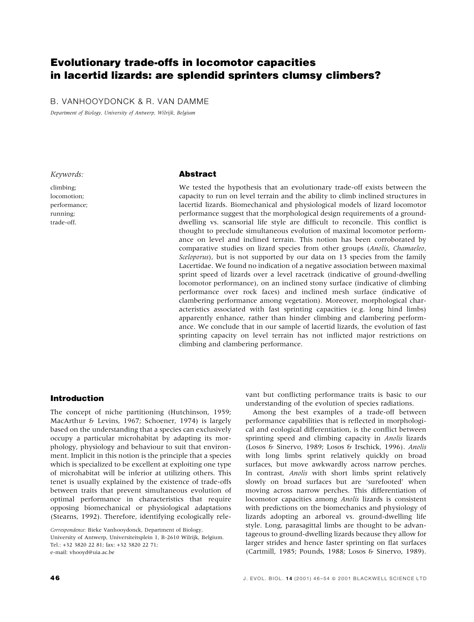# Evolutionary trade-offs in locomotor capacities in lacertid lizards: are splendid sprinters clumsy climbers?

B. VANHOOYDONCK & R. VAN DAMME

Department of Biology, University of Antwerp, Wilrijk, Belgium

#### Keywords:

climbing; locomotion; performance; running; trade-off.

## Abstract

We tested the hypothesis that an evolutionary trade-off exists between the capacity to run on level terrain and the ability to climb inclined structures in lacertid lizards. Biomechanical and physiological models of lizard locomotor performance suggest that the morphological design requirements of a grounddwelling vs. scansorial life style are difficult to reconcile. This conflict is thought to preclude simultaneous evolution of maximal locomotor performance on level and inclined terrain. This notion has been corroborated by comparative studies on lizard species from other groups (Anolis, Chamaeleo, Sceloporus), but is not supported by our data on 13 species from the family Lacertidae. We found no indication of a negative association between maximal sprint speed of lizards over a level racetrack (indicative of ground-dwelling locomotor performance), on an inclined stony surface (indicative of climbing performance over rock faces) and inclined mesh surface (indicative of clambering performance among vegetation). Moreover, morphological characteristics associated with fast sprinting capacities (e.g. long hind limbs) apparently enhance, rather than hinder climbing and clambering performance. We conclude that in our sample of lacertid lizards, the evolution of fast sprinting capacity on level terrain has not inflicted major restrictions on climbing and clambering performance.

## Introduction

The concept of niche partitioning (Hutchinson, 1959; MacArthur & Levins, 1967; Schoener, 1974) is largely based on the understanding that a species can exclusively occupy a particular microhabitat by adapting its morphology, physiology and behaviour to suit that environment. Implicit in this notion is the principle that a species which is specialized to be excellent at exploiting one type of microhabitat will be inferior at utilizing others. This tenet is usually explained by the existence of trade-offs between traits that prevent simultaneous evolution of optimal performance in characteristics that require opposing biomechanical or physiological adaptations (Stearns, 1992). Therefore, identifying ecologically rele-

Correspondence: Bieke Vanhooydonck, Department of Biology, University of Antwerp, Universiteitsplein 1, B-2610 Wilrijk, Belgium. Tel.: +32 3820 22 81; fax: +32 3820 22 71; e-mail: vhooyd@uia.ac.be

vant but conflicting performance traits is basic to our understanding of the evolution of species radiations.

Among the best examples of a trade-off between performance capabilities that is reflected in morphological and ecological differentiation, is the conflict between sprinting speed and climbing capacity in Anolis lizards (Losos & Sinervo, 1989; Losos & Irschick, 1996). Anolis with long limbs sprint relatively quickly on broad surfaces, but move awkwardly across narrow perches. In contrast, Anolis with short limbs sprint relatively slowly on broad surfaces but are 'surefooted' when moving across narrow perches. This differentiation of locomotor capacities among Anolis lizards is consistent with predictions on the biomechanics and physiology of lizards adopting an arboreal vs. ground-dwelling life style. Long, parasagittal limbs are thought to be advantageous to ground-dwelling lizards because they allow for larger strides and hence faster sprinting on flat surfaces (Cartmill, 1985; Pounds, 1988; Losos & Sinervo, 1989).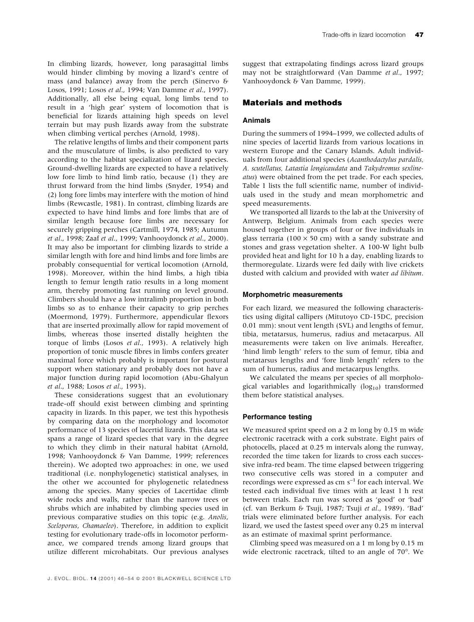In climbing lizards, however, long parasagittal limbs would hinder climbing by moving a lizard's centre of mass (and balance) away from the perch (Sinervo & Losos, 1991; Losos et al., 1994; Van Damme et al., 1997). Additionally, all else being equal, long limbs tend to result in a 'high gear' system of locomotion that is beneficial for lizards attaining high speeds on level terrain but may push lizards away from the substrate when climbing vertical perches (Arnold, 1998).

The relative lengths of limbs and their component parts and the musculature of limbs, is also predicted to vary according to the habitat specialization of lizard species. Ground-dwelling lizards are expected to have a relatively low fore limb to hind limb ratio, because (1) they are thrust forward from the hind limbs (Snyder, 1954) and (2) long fore limbs may interfere with the motion of hind limbs (Rewcastle, 1981). In contrast, climbing lizards are expected to have hind limbs and fore limbs that are of similar length because fore limbs are necessary for securely gripping perches (Cartmill, 1974, 1985; Autumn et al., 1998; Zaaf et al., 1999; Vanhooydonck et al., 2000). It may also be important for climbing lizards to stride a similar length with fore and hind limbs and fore limbs are probably consequential for vertical locomotion (Arnold, 1998). Moreover, within the hind limbs, a high tibia length to femur length ratio results in a long moment arm, thereby promoting fast running on level ground. Climbers should have a low intralimb proportion in both limbs so as to enhance their capacity to grip perches (Moermond, 1979). Furthermore, appendicular flexors that are inserted proximally allow for rapid movement of limbs, whereas those inserted distally heighten the torque of limbs (Losos et al., 1993). A relatively high proportion of tonic muscle fibres in limbs confers greater maximal force which probably is important for postural support when stationary and probably does not have a major function during rapid locomotion (Abu-Ghalyun et al., 1988; Losos et al., 1993).

These considerations suggest that an evolutionary trade-off should exist between climbing and sprinting capacity in lizards. In this paper, we test this hypothesis by comparing data on the morphology and locomotor performance of 13 species of lacertid lizards. This data set spans a range of lizard species that vary in the degree to which they climb in their natural habitat (Arnold, 1998; Vanhooydonck & Van Damme, 1999; references therein). We adopted two approaches: in one, we used traditional (i.e. nonphylogenetic) statistical analyses, in the other we accounted for phylogenetic relatedness among the species. Many species of Lacertidae climb wide rocks and walls, rather than the narrow trees or shrubs which are inhabited by climbing species used in previous comparative studies on this topic (e.g. Anolis, Sceloporus, Chamaeleo). Therefore, in addition to explicit testing for evolutionary trade-offs in locomotor performance, we compared trends among lizard groups that utilize different microhabitats. Our previous analyses

suggest that extrapolating findings across lizard groups may not be straightforward (Van Damme et al., 1997; 1Vanhooydonck & Van Damme, 1999).

## Materials and methods

#### Animals

During the summers of 1994-1999, we collected adults of nine species of lacertid lizards from various locations in western Europe and the Canary Islands. Adult individuals from four additional species (Acanthodactylus pardalis, A. scutellatus, Latastia longicaudata and Takydromus sexlineatus) were obtained from the pet trade. For each species, Table 1 lists the full scientific name, number of individuals used in the study and mean morphometric and speed measurements.

We transported all lizards to the lab at the University of Antwerp, Belgium. Animals from each species were housed together in groups of four or five individuals in glass terraria (100  $\times$  50 cm) with a sandy substrate and stones and grass vegetation shelter. A 100-W light bulb provided heat and light for 10 h a day, enabling lizards to thermoregulate. Lizards were fed daily with live crickets dusted with calcium and provided with water ad libitum.

#### Morphometric measurements

For each lizard, we measured the following characteristics using digital callipers (Mitutoyo CD-15DC, precision 0.01 mm): snout vent length (SVL) and lengths of femur, tibia, metatarsus, humerus, radius and metacarpus. All measurements were taken on live animals. Hereafter, `hind limb length' refers to the sum of femur, tibia and metatarsus lengths and 'fore limb length' refers to the sum of humerus, radius and metacarpus lengths.

We calculated the means per species of all morphological variables and logarithmically  $(log_{10})$  transformed them before statistical analyses.

#### Performance testing

We measured sprint speed on a 2 m long by 0.15 m wide electronic racetrack with a cork substrate. Eight pairs of photocells, placed at 0.25 m intervals along the runway, recorded the time taken for lizards to cross each successive infra-red beam. The time elapsed between triggering two consecutive cells was stored in a computer and recordings were expressed as  $cm s^{-1}$  for each interval. We tested each individual five times with at least 1 h rest between trials. Each run was scored as 'good' or 'bad' (cf. van Berkum & Tsuji, 1987; Tsuji et al., 1989). 'Bad' trials were eliminated before further analysis. For each lizard, we used the fastest speed over any 0.25 m interval as an estimate of maximal sprint performance.

Climbing speed was measured on a 1 m long by 0.15 m wide electronic racetrack, tilted to an angle of 70°. We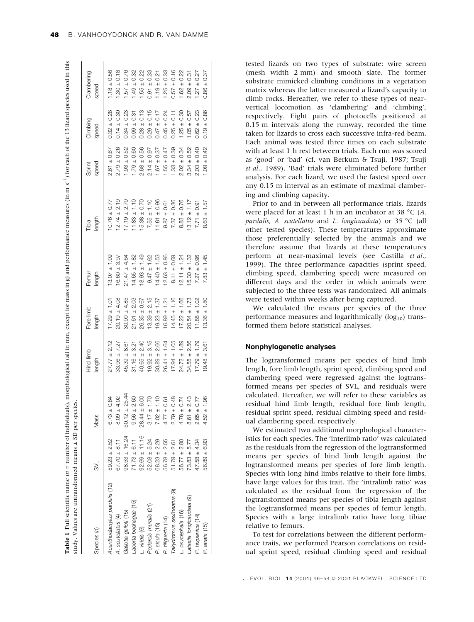| study. Values are untransformed means ± SD per species. |                   |                                |                     |                     |                  |                  |                 |                    |                     |
|---------------------------------------------------------|-------------------|--------------------------------|---------------------|---------------------|------------------|------------------|-----------------|--------------------|---------------------|
| Species (n)                                             | <b>SVL</b>        | Mass                           | Hind limb<br>length | Tore limb<br>length | Femur<br>length  | length<br>Tibia  | speed<br>Sprint | Climbing<br>peed   | Clambering<br>speed |
| Acanthodactylus pardalis (12)                           | $59.23 + 2.52$    | ± 0.84<br>6.73.                | $27.77 \pm 2.12$    | $17.29 \pm 1.01$    | $13.07 \pm 1.09$ | $0.76 \pm 0.77$  | $2.61 \pm 0.67$ | $0.32 \pm 0.28$    | $.18 \pm 0.56$      |
| A. scutellatus (4)                                      | $67.70 \pm 8.11$  | $±$ 4.02<br>8.09               | $33.96 \pm 7.27$    | $20.19 \pm 4.08$    | $16.60 + 3.97$   | $12.74 \pm 2.19$ | $2.79 \pm 0.26$ | $0.14 \pm 0.30$    | $1.30 \pm 0.18$     |
| Gallotia galloti (15)                                   | $98.53 \pm 16.24$ | ± 25.44<br>50.12               | $45.39 \pm 8.61$    | $30.90 \pm 4.85$    | $21.47 \pm 4.64$ | $17.19 \pm 2.79$ | $.93 \pm 0.52$  | $0.34 \pm 0.23$    | $-1.57 \pm 0.76$    |
| Lacerta bedriagae (15)                                  | $71.73 \pm 6.11$  | 2.60<br>$\overline{+}$<br>9.56 | $31.16 \pm 3.21$    | $21.61 \pm 2.03$    | $14.65 \pm 1.82$ | $11.83 \pm 1.10$ | $1.79 \pm 0.60$ | ± 0.31<br>0.99     | $.49 \pm 0.32$      |
| L. viridis (6)                                          | $92.69 \pm 11.16$ | $+ 6.00$<br>28.44              | $40.65 \pm 2.40$    | $26.35 \pm 0.67$    | $18.93 \pm 1.49$ | $15.38 \pm 0.70$ | $2.68 + 0.56$   | $0.28 \pm 0.13$    | $1.55 \pm 0.22$     |
| Podarcis muralis (21)                                   | $52.08 + 5.24$    | ± 1.70<br>3.17                 | $19.92 \pm 3.15$    | $13.39 \pm 2.15$    | $9.47 \pm 1.62$  | $7.55 \pm 1.10$  | $2.14 \pm 0.97$ | $0.29 \pm 0.15$    | $0.91 \pm 0.33$     |
| P. sicula (15)                                          | $68.23 \pm 2.29$  | ± 1.10<br>7.02                 | $30.89 \pm 2.66$    | $19.23 \pm 1.37$    | $14.40 \pm 1.53$ | $11.81 \pm 0.96$ | $1.67 \pm 0.37$ | $0.47 \pm 0.17$    | $1.19 \pm 0.21$     |
| P. tiliguerta (14)                                      | $56.78 \pm 2.55$  | ± 0.61<br>4.77                 | $26.41 \pm 1.64$    | $16.89 \pm 1.21$    | $12.63 \pm 0.86$ | $9.87 \pm 0.61$  | $.55 \pm 0.47$  | $0.45 \pm 0.24$    | $1.25 \pm 0.33$     |
| Takydromus sexlineatus (9)                              | $51.79 \pm 2.61$  | ± 0.48<br>2.79                 | $17.94 \pm 1.05$    | $14.45 \pm 1.16$    | $8.11 \pm 0.69$  | $7.37 \pm 0.36$  | $1.33 \pm 0.39$ | $0.25 \pm 0.11$    | $0.57 \pm 0.16$     |
| L. oxycephala (16)                                      | $56.77 \pm 2.80$  | $\pm 0.74$<br>4.78             | $24.72 \pm 1.89$    | $17.22 \pm 1.66$    | $12.11 \pm 1.24$ | $8.83 \pm 0.76$  | $2.02 \pm 0.34$ | $1.25 \pm 0.30$    | $1.62 \pm 0.22$     |
| Latastia longicaudata (9)                               | $73.83 \pm 5.77$  | 2.43<br>$+1$<br>8.61           | $34.55 \pm 2.56$    | $20.54 \pm 1.73$    | $15.30 \pm 1.32$ | $13.12 \pm 1.17$ | $3.34 \pm 0.52$ | $1.05 \pm 0.57$    | $2.09 \pm 0.31$     |
| P. hispanica (14)                                       | $47.58 \pm 4.34$  | ± 0.77<br>2.65                 | $17.79 \pm 1.79$    | $11.88 \pm 1.02$    | $7.27 \pm 0.96$  | $7.71 \pm 0.91$  | $2.03 \pm 0.40$ | ± 0.23<br>0.62     | $1.27 \pm 0.27$     |
| P. atrata (15)                                          | $56.89 \pm 6.93$  | ± 1.98<br>4.52                 | $19.48 \pm 3.61$    | $13.36 \pm 1.80$    | $7.83 \pm 1.45$  | $8.63 \pm 1.57$  | $1.09 \pm 0.42$ | $\pm 0.86$<br>0.19 | $0.86 \pm 0.37$     |

**Table 1** Full scientific name ( $n =$  number of individuals), morphological (all in mm, except for mass in g) and performance measures (in m  $s^{-1}$ ) for each of the 13 lizard species used in this

Full scientific name (n = number of individuals), morphological (all in mm, except for mass in g) and performance measures (in m s<sup>-1</sup>) for each of the 13 lizard species used in this

tested lizards on two types of substrate: wire screen (mesh width 2 mm) and smooth slate. The former substrate mimicked climbing conditions in a vegetation matrix whereas the latter measured a lizard's capacity to climb rocks. Hereafter, we refer to these types of nearvertical locomotion as 'clambering' and 'climbing', respectively. Eight pairs of photocells positioned at 0.15 m intervals along the runway, recorded the time taken for lizards to cross each successive infra-red beam. Each animal was tested three times on each substrate with at least 1 h rest between trials. Each run was scored as `good' or `bad' (cf. van Berkum & Tsuji, 1987; Tsuji et al., 1989). `Bad' trials were eliminated before further analysis. For each lizard, we used the fastest speed over any 0.15 m interval as an estimate of maximal clambering and climbing capacity.

Prior to and in between all performance trials, lizards were placed for at least 1 h in an incubator at 38  $^{\circ}$ C (A. pardalis, A. scutellatus and L. longicaudata) or  $35^{\circ}$ C (all other tested species). These temperatures approximate those preferentially selected by the animals and we therefore assume that lizards at these temperatures perform at near-maximal levels (see Castilla et al., 1999). The three performance capacities (sprint speed, climbing speed, clambering speed) were measured on different days and the order in which animals were subjected to the three tests was randomized. All animals were tested within weeks after being captured.

We calculated the means per species of the three performance measures and logarithmically  $(log_{10})$  transformed them before statistical analyses.

#### Nonphylogenetic analyses

The logtransformed means per species of hind limb length, fore limb length, sprint speed, climbing speed and clambering speed were regressed against the logtransformed means per species of SVL, and residuals were calculated. Hereafter, we will refer to these variables as residual hind limb length, residual fore limb length, residual sprint speed, residual climbing speed and residual clambering speed, respectively.

We estimated two additional morphological characteristics for each species. The 'interlimb ratio' was calculated as the residuals from the regression of the logtransformed means per species of hind limb length against the logtransformed means per species of fore limb length. Species with long hind limbs relative to their fore limbs, have large values for this trait. The 'intralimb ratio' was calculated as the residual from the regression of the logtransformed means per species of tibia length against the logtransformed means per species of femur length. Species with a large intralimb ratio have long tibiae relative to femurs.

To test for correlations between the different performance traits, we performed Pearson correlations on residual sprint speed, residual climbing speed and residual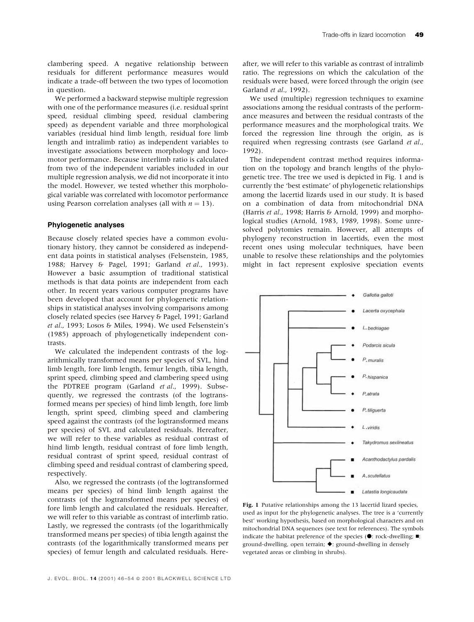clambering speed. A negative relationship between residuals for different performance measures would indicate a trade-off between the two types of locomotion in question.

We performed a backward stepwise multiple regression with one of the performance measures (i.e. residual sprint speed, residual climbing speed, residual clambering speed) as dependent variable and three morphological variables (residual hind limb length, residual fore limb length and intralimb ratio) as independent variables to investigate associations between morphology and locomotor performance. Because interlimb ratio is calculated from two of the independent variables included in our multiple regression analysis, we did not incorporate it into the model. However, we tested whether this morphological variable was correlated with locomotor performance using Pearson correlation analyses (all with  $n = 13$ ).

#### Phylogenetic analyses

Because closely related species have a common evolutionary history, they cannot be considered as independent data points in statistical analyses (Felsenstein, 1985, 1988; Harvey & Pagel, 1991; Garland et al., 1993). However a basic assumption of traditional statistical methods is that data points are independent from each other. In recent years various computer programs have been developed that account for phylogenetic relationships in statistical analyses involving comparisons among closely related species (see Harvey & Pagel, 1991; Garland et al., 1993; Losos & Miles, 1994). We used Felsenstein's (1985) approach of phylogenetically independent contrasts.

We calculated the independent contrasts of the logarithmically transformed means per species of SVL, hind limb length, fore limb length, femur length, tibia length, sprint speed, climbing speed and clambering speed using the PDTREE program (Garland et al., 1999). Subsequently, we regressed the contrasts (of the logtransformed means per species) of hind limb length, fore limb length, sprint speed, climbing speed and clambering speed against the contrasts (of the logtransformed means per species) of SVL and calculated residuals. Hereafter, we will refer to these variables as residual contrast of hind limb length, residual contrast of fore limb length, residual contrast of sprint speed, residual contrast of climbing speed and residual contrast of clambering speed, respectively.

Also, we regressed the contrasts (of the logtransformed means per species) of hind limb length against the contrasts (of the logtransformed means per species) of fore limb length and calculated the residuals. Hereafter, we will refer to this variable as contrast of interlimb ratio. Lastly, we regressed the contrasts (of the logarithmically transformed means per species) of tibia length against the contrasts (of the logarithmically transformed means per species) of femur length and calculated residuals. Hereafter, we will refer to this variable as contrast of intralimb ratio. The regressions on which the calculation of the residuals were based, were forced through the origin (see Garland et al., 1992).

We used (multiple) regression techniques to examine associations among the residual contrasts of the performance measures and between the residual contrasts of the performance measures and the morphological traits. We forced the regression line through the origin, as is required when regressing contrasts (see Garland et al., 1992).

The independent contrast method requires information on the topology and branch lengths of the phylogenetic tree. The tree we used is depicted in Fig. 1 and is currently the 'best estimate' of phylogenetic relationships among the lacertid lizards used in our study. It is based on a combination of data from mitochondrial DNA (Harris et al., 1998; Harris & Arnold, 1999) and morphological studies (Arnold, 1983, 1989, 1998). Some unresolved polytomies remain. However, all attempts of phylogeny reconstruction in lacertids, even the most recent ones using molecular techniques, have been unable to resolve these relationships and the polytomies might in fact represent explosive speciation events



Fig. 1 Putative relationships among the 13 lacertid lizard species, used as input for the phylogenetic analyses. The tree is a 'currently best' working hypothesis, based on morphological characters and on mitochondrial DNA sequences (see text for references). The symbols indicate the habitat preference of the species  $(\bullet:$  rock-dwelling;  $\blacksquare$ : ground-dwelling, open terrain;  $\blacklozenge$ : ground-dwelling in densely vegetated areas or climbing in shrubs).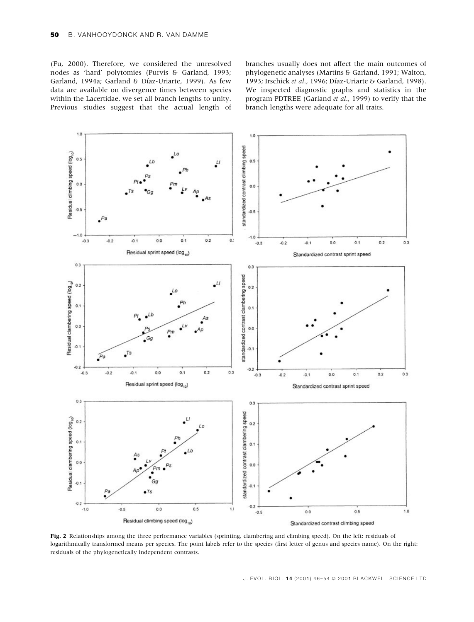(Fu, 2000). Therefore, we considered the unresolved nodes as 'hard' polytomies (Purvis & Garland, 1993; Garland, 1994a; Garland & Díaz-Uriarte, 1999). As few data are available on divergence times between species within the Lacertidae, we set all branch lengths to unity. Previous studies suggest that the actual length of branches usually does not affect the main outcomes of phylogenetic analyses (Martins & Garland, 1991; Walton, 1993; Irschick et al., 1996; Díaz-Uriarte & Garland, 1998). We inspected diagnostic graphs and statistics in the program PDTREE (Garland et al., 1999) to verify that the branch lengths were adequate for all traits.



Fig. 2 Relationships among the three performance variables (sprinting, clambering and climbing speed). On the left: residuals of logarithmically transformed means per species. The point labels refer to the species (first letter of genus and species name). On the right: residuals of the phylogenetically independent contrasts.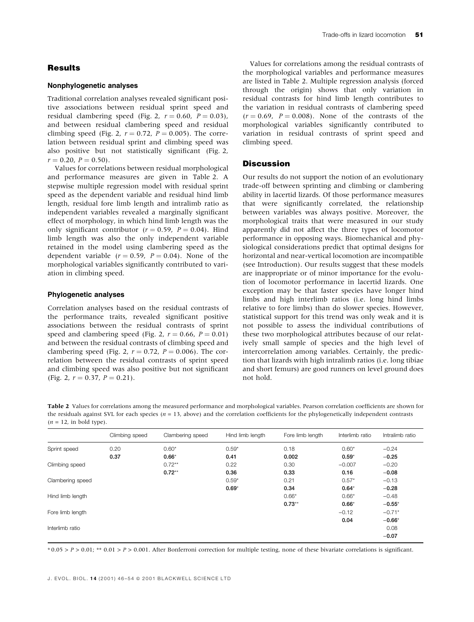## Results

#### Nonphylogenetic analyses

Traditional correlation analyses revealed significant positive associations between residual sprint speed and residual clambering speed (Fig. 2,  $r = 0.60$ ,  $P = 0.03$ ), and between residual clambering speed and residual climbing speed (Fig. 2,  $r = 0.72$ ,  $P = 0.005$ ). The correlation between residual sprint and climbing speed was also positive but not statistically significant (Fig. 2,  $r = 0.20$ ,  $P = 0.50$ ).

Values for correlations between residual morphological and performance measures are given in Table 2. A stepwise multiple regression model with residual sprint speed as the dependent variable and residual hind limb length, residual fore limb length and intralimb ratio as independent variables revealed a marginally significant effect of morphology, in which hind limb length was the only significant contributor ( $r = 0.59$ ,  $P = 0.04$ ). Hind limb length was also the only independent variable retained in the model using clambering speed as the dependent variable ( $r = 0.59$ ,  $P = 0.04$ ). None of the morphological variables significantly contributed to variation in climbing speed.

## Phylogenetic analyses

Correlation analyses based on the residual contrasts of the performance traits, revealed significant positive associations between the residual contrasts of sprint speed and clambering speed (Fig. 2,  $r = 0.66$ ,  $P = 0.01$ ) and between the residual contrasts of climbing speed and clambering speed (Fig. 2,  $r = 0.72$ ,  $P = 0.006$ ). The correlation between the residual contrasts of sprint speed and climbing speed was also positive but not significant (Fig. 2,  $r = 0.37$ ,  $P = 0.21$ ).

Values for correlations among the residual contrasts of the morphological variables and performance measures are listed in Table 2. Multiple regression analysis (forced through the origin) shows that only variation in residual contrasts for hind limb length contributes to the variation in residual contrasts of clambering speed  $(r = 0.69, P = 0.008)$ . None of the contrasts of the morphological variables significantly contributed to variation in residual contrasts of sprint speed and climbing speed.

### **Discussion**

Our results do not support the notion of an evolutionary trade-off between sprinting and climbing or clambering ability in lacertid lizards. Of those performance measures that were significantly correlated, the relationship between variables was always positive. Moreover, the morphological traits that were measured in our study apparently did not affect the three types of locomotor performance in opposing ways. Biomechanical and physiological considerations predict that optimal designs for horizontal and near-vertical locomotion are incompatible (see Introduction). Our results suggest that these models are inappropriate or of minor importance for the evolution of locomotor performance in lacertid lizards. One exception may be that faster species have longer hind limbs and high interlimb ratios (i.e. long hind limbs relative to fore limbs) than do slower species. However, statistical support for this trend was only weak and it is not possible to assess the individual contributions of these two morphological attributes because of our relatively small sample of species and the high level of intercorrelation among variables. Certainly, the prediction that lizards with high intralimb ratios (i.e. long tibiae and short femurs) are good runners on level ground does not hold.

Table 2 Values for correlations among the measured performance and morphological variables. Pearson correlation coefficients are shown for the residuals against SVL for each species ( $n = 13$ , above) and the correlation coefficients for the phylogenetically independent contrasts  $(n = 12, \text{ in bold type}).$ 

|                  | Climbing speed | Clambering speed | Hind limb length | Fore limb length | Interlimb ratio | Intralimb ratio |
|------------------|----------------|------------------|------------------|------------------|-----------------|-----------------|
| Sprint speed     | 0.20           | $0.60*$          | $0.59*$          | 0.18             | $0.60*$         | $-0.24$         |
|                  | 0.37           | $0.66*$          | 0.41             | 0.002            | $0.59*$         | $-0.25$         |
| Climbing speed   |                | $0.72***$        | 0.22             | 0.30             | $-0.007$        | $-0.20$         |
|                  |                | $0.72***$        | 0.36             | 0.33             | 0.16            | $-0.08$         |
| Clambering speed |                |                  | $0.59*$          | 0.21             | $0.57*$         | $-0.13$         |
|                  |                |                  | $0.69*$          | 0.34             | $0.64*$         | $-0.28$         |
| Hind limb length |                |                  |                  | $0.66*$          | $0.66*$         | $-0.48$         |
|                  |                |                  |                  | $0.73***$        | $0.66*$         | $-0.55*$        |
| Fore limb length |                |                  |                  |                  | $-0.12$         | $-0.71*$        |
|                  |                |                  |                  |                  | 0.04            | $-0.66*$        |
| Interlimb ratio  |                |                  |                  |                  |                 | 0.08            |
|                  |                |                  |                  |                  |                 | $-0.07$         |

 $*0.05 > P > 0.01$ ; \*\* 0.01 > P > 0.001. After Bonferroni correction for multiple testing, none of these bivariate correlations is significant.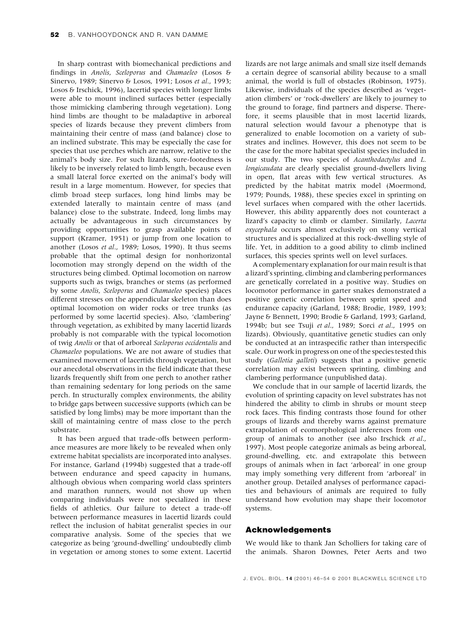In sharp contrast with biomechanical predictions and findings in Anolis, Sceloporus and Chamaeleo (Losos & Sinervo, 1989; Sinervo & Losos, 1991; Losos et al., 1993; Losos & Irschick, 1996), lacertid species with longer limbs were able to mount inclined surfaces better (especially those mimicking clambering through vegetation). Long hind limbs are thought to be maladaptive in arboreal species of lizards because they prevent climbers from maintaining their centre of mass (and balance) close to an inclined substrate. This may be especially the case for species that use perches which are narrow, relative to the animal's body size. For such lizards, sure-footedness is likely to be inversely related to limb length, because even a small lateral force exerted on the animal's body will result in a large momentum. However, for species that climb broad steep surfaces, long hind limbs may be extended laterally to maintain centre of mass (and balance) close to the substrate. Indeed, long limbs may actually be advantageous in such circumstances by providing opportunities to grasp available points of support (Kramer, 1951) or jump from one location to another (Losos et al., 1989; Losos, 1990). It thus seems probable that the optimal design for nonhorizontal locomotion may strongly depend on the width of the structures being climbed. Optimal locomotion on narrow supports such as twigs, branches or stems (as performed by some Anolis, Sceloporus and Chamaeleo species) places different stresses on the appendicular skeleton than does optimal locomotion on wider rocks or tree trunks (as performed by some lacertid species). Also, 'clambering' through vegetation, as exhibited by many lacertid lizards probably is not comparable with the typical locomotion of twig Anolis or that of arboreal Sceloporus occidentalis and Chamaeleo populations. We are not aware of studies that examined movement of lacertids through vegetation, but our anecdotal observations in the field indicate that these lizards frequently shift from one perch to another rather than remaining sedentary for long periods on the same perch. In structurally complex environments, the ability to bridge gaps between successive supports (which can be satisfied by long limbs) may be more important than the skill of maintaining centre of mass close to the perch substrate.

It has been argued that trade-offs between performance measures are more likely to be revealed when only extreme habitat specialists are incorporated into analyses. For instance, Garland (1994b) suggested that a trade-off between endurance and speed capacity in humans, although obvious when comparing world class sprinters and marathon runners, would not show up when comparing individuals were not specialized in these fields of athletics. Our failure to detect a trade-off between performance measures in lacertid lizards could reflect the inclusion of habitat generalist species in our comparative analysis. Some of the species that we categorize as being 'ground-dwelling' undoubtedly climb in vegetation or among stones to some extent. Lacertid

lizards are not large animals and small size itself demands a certain degree of scansorial ability because to a small animal, the world is full of obstacles (Robinson, 1975). Likewise, individuals of the species described as 'vegetation climbers' or 'rock-dwellers' are likely to journey to the ground to forage, find partners and disperse. Therefore, it seems plausible that in most lacertid lizards, natural selection would favour a phenotype that is generalized to enable locomotion on a variety of substrates and inclines. However, this does not seem to be the case for the more habitat specialist species included in our study. The two species of Acanthodactylus and L. longicaudata are clearly specialist ground-dwellers living in open, flat areas with few vertical structures. As predicted by the habitat matrix model (Moermond, 1979; Pounds, 1988), these species excel in sprinting on level surfaces when compared with the other lacertids. However, this ability apparently does not counteract a lizard's capacity to climb or clamber. Similarly, Lacerta oxycephala occurs almost exclusively on stony vertical structures and is specialized at this rock-dwelling style of life. Yet, in addition to a good ability to climb inclined surfaces, this species sprints well on level surfaces.

A complementary explanation for our main result is that a lizard's sprinting, climbing and clambering performances are genetically correlated in a positive way. Studies on locomotor performance in garter snakes demonstrated a positive genetic correlation between sprint speed and endurance capacity (Garland, 1988; Brodie, 1989, 1993; Jayne & Bennett, 1990; Brodie & Garland, 1993; Garland, 1994b; but see Tsuji et al., 1989; Sorci et al., 1995 on lizards). Obviously, quantitative genetic studies can only be conducted at an intraspecific rather than interspecific scale. Our work in progress on one of the species tested this study (Gallotia galloti) suggests that a positive genetic correlation may exist between sprinting, climbing and clambering performance (unpublished data).

We conclude that in our sample of lacertid lizards, the evolution of sprinting capacity on level substrates has not hindered the ability to climb in shrubs or mount steep rock faces. This finding contrasts those found for other groups of lizards and thereby warns against premature extrapolation of ecomorphological inferences from one group of animals to another (see also Irschick et al., 1997). Most people categorize animals as being arboreal, ground-dwelling, etc. and extrapolate this between groups of animals when in fact `arboreal' in one group may imply something very different from 'arboreal' in another group. Detailed analyses of performance capacities and behaviours of animals are required to fully understand how evolution may shape their locomotor systems.

# Acknowledgements

We would like to thank Jan Scholliers for taking care of the animals. Sharon Downes, Peter Aerts and two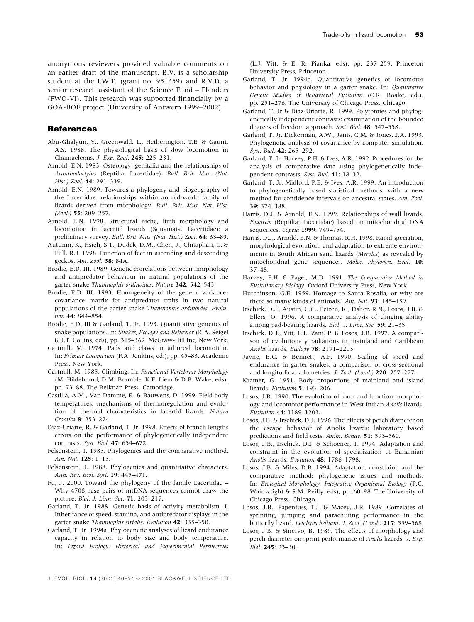anonymous reviewers provided valuable comments on an earlier draft of the manuscript. B.V. is a scholarship student at the I.W.T. (grant no. 951359) and R.V.D. a senior research assistant of the Science Fund - Flanders (FWO-VI). This research was supported financially by a GOA-BOF project (University of Antwerp 1999-2002).

## References

- Abu-Ghalyun, Y., Greenwald, L., Hetherington, T.E. & Gaunt, A.S. 1988. The physiological basis of slow locomotion in Chamaeleons. J. Exp. Zool. 245: 225-231.
- Arnold, E.N. 1983. Osteology, genitalia and the relationships of Acanthodactylus (Reptilia: Lacertidae). Bull. Brit. Mus. (Nat. Hist.) Zool. 44: 291-339.
- Arnold, E.N. 1989. Towards a phylogeny and biogeography of the Lacertidae: relationships within an old-world family of lizards derived from morphology. Bull. Brit. Mus. Nat. Hist.  $(Zool.)$  55: 209-257.
- Arnold, E.N. 1998. Structural niche, limb morphology and locomotion in lacertid lizards (Squamata, Lacertidae); a preliminary survey. Bull. Brit. Mus. (Nat. Hist.) Zool. 64: 63-89.
- Autumn, K., Hsieh, S.T., Dudek, D.M., Chen, J., Chitaphan, C. & Full, R.J. 1998. Function of feet in ascending and descending geckos. Am. Zool. 38: 84A.
- Brodie, E.D. III. 1989. Genetic correlations between morphology and antipredator behaviour in natural populations of the garter snake Thamnophis ordinoides. Nature 342: 542-543.
- Brodie, E.D. III. 1993. Homogeneity of the genetic variancecovariance matrix for antipredator traits in two natural populations of the garter snake Thamnophis ordinoides. Evolution 44: 844-854.
- Brodie, E.D. III & Garland, T. Jr. 1993. Quantitative genetics of snake populations. In: Snakes, Ecology and Behavior (R.A. Seigel & J.T. Collins, eds), pp. 315±362. McGraw-Hill Inc, New York.
- Cartmill, M. 1974. Pads and claws in arboreal locomotion. In: Primate Locomotion (F.A. Jenkins, ed.), pp. 45-83. Academic Press, New York.
- Cartmill, M. 1985. Climbing. In: Functional Vertebrate Morphology (M. Hildebrand, D.M. Bramble, K.F. Liem & D.B. Wake, eds), pp. 73-88. The Belknap Press, Cambridge.
- Castilla, A.M., Van Damme, R. & Bauwens, D. 1999. Field body temperatures, mechanisms of thermoregulation and evolution of thermal characteristics in lacertid lizards. Natura Croatica  $8: 253-274$ .
- Díaz-Uriarte, R. & Garland, T. Jr. 1998. Effects of branch lengths errors on the performance of phylogenetically independent contrasts. Syst. Biol. 47: 654-672.
- Felsenstein, J. 1985. Phylogenies and the comparative method. Am. Nat. 125: 1-15.
- Felsenstein, J. 1988. Phylogenies and quantitative characters. Ann. Rev. Ecol. Syst. 19: 445-471.
- Fu, J. 2000. Toward the phylogeny of the family Lacertidae -Why 4708 base pairs of mtDNA sequences cannot draw the picture. Biol. J. Linn. Soc. 71: 203-217.
- Garland, T. Jr. 1988. Genetic basis of activity metabolism. I. Inheritance of speed, stamina, and antipredator displays in the garter snake Thamnophis sirtalis. Evolution 42: 335-350.
- Garland, T. Jr. 1994a. Phylogenetic analyses of lizard endurance capacity in relation to body size and body temperature. In: Lizard Ecology: Historical and Experimental Perspectives

(L.J. Vitt,  $\&$  E. R. Pianka, eds), pp. 237-259. Princeton University Press, Princeton.

- Garland, T. Jr. 1994b. Quantitative genetics of locomotor behavior and physiology in a garter snake. In: Quantitative Genetic Studies of Behavioral Evolution (C.R. Boake, ed.), pp. 251-276. The University of Chicago Press, Chicago.
- Garland, T. Jr & Díaz-Uriarte, R. 1999. Polytomies and phylogenetically independent contrasts: examination of the bounded degrees of freedom approach. Syst. Biol. 48: 547-558.
- Garland, T. Jr, Dickerman, A.W., Janis, C.M. & Jones, J.A. 1993. Phylogenetic analysis of covariance by computer simulation. Syst. Biol. 42: 265-292.
- Garland, T. Jr, Harvey, P.H. & Ives, A.R. 1992. Procedures for the analysis of comparative data using phylogenetically independent contrasts. Syst. Biol. 41: 18-32.
- Garland, T. Jr, Midford, P.E. & Ives, A.R. 1999. An introduction to phylogenetically based statistical methods, with a new method for confidence intervals on ancestral states. Am. Zool.  $39.374 - 388$
- Harris, D.J. & Arnold, E.N. 1999. Relationships of wall lizards, Podarcis (Reptilia: Lacertidae) based on mitochondrial DNA sequences. Copeia 1999: 749-754.
- Harris, D.J., Arnold, E.N. & Thomas, R.H. 1998. Rapid speciation, morphological evolution, and adaptation to extreme environments in South African sand lizards (Meroles) as revealed by mitochondrial gene sequences. Molec. Phylogen. Evol. 10: 37±48.
- Harvey, P.H. & Pagel, M.D. 1991. The Comparative Method in Evolutionary Biology. Oxford University Press, New York.
- Hutchinson, G.E. 1959. Homage to Santa Rosalia, or why are there so many kinds of animals? Am. Nat. 93: 145-159.
- Irschick, D.J., Austin, C.C., Petren, K., Fisher, R.N., Losos, J.B. & Ellers, O. 1996. A comparative analysis of clinging ability among pad-bearing lizards. Biol. J. Linn. Soc. 59: 21-35.
- Irschick, D.J., Vitt, L.J., Zani, P. & Losos, J.B. 1997. A comparison of evolutionary radiations in mainland and Caribbean Anolis lizards. Ecology 78: 2191-2203.
- Jayne, B.C. & Bennett, A.F. 1990. Scaling of speed and endurance in garter snakes: a comparison of cross-sectional and longitudinal allometries. J. Zool. (Lond.) 220: 257-277.
- Kramer, G. 1951. Body proportions of mainland and island lizards. Evolution 5: 193-206.
- Losos, J.B. 1990. The evolution of form and function: morphology and locomotor performance in West Indian Anolis lizards. Evolution 44: 1189-1203.
- Losos, J.B. & Irschick, D.J. 1996. The effects of perch diameter on the escape behavior of Anolis lizards: laboratory based predictions and field tests. Anim. Behav. 51: 593-560.
- Losos, J.B., Irschick, D.J. & Schoener, T. 1994. Adaptation and constraint in the evolution of specialization of Bahamian Anolis lizards. Evolution 48: 1786-1798.
- Losos, J.B. & Miles, D.B. 1994. Adaptation, constraint, and the comparative method: phylogenetic issues and methods. In: Ecological Morphology. Integrative Organismal Biology (P.C. Wainwright & S.M. Reilly, eds), pp. 60-98. The University of Chicago Press, Chicago.
- Losos, J.B., Papenfuss, T.J. & Macey, J.R. 1989. Correlates of sprinting, jumping and parachuting performance in the butterfly lizard, Leiolepis belliani. J. Zool. (Lond.) 217: 559-568.
- Losos, J.B. & Sinervo, B. 1989. The effects of morphology and perch diameter on sprint performance of Anolis lizards. J. Exp. Biol. 245: 23-30.